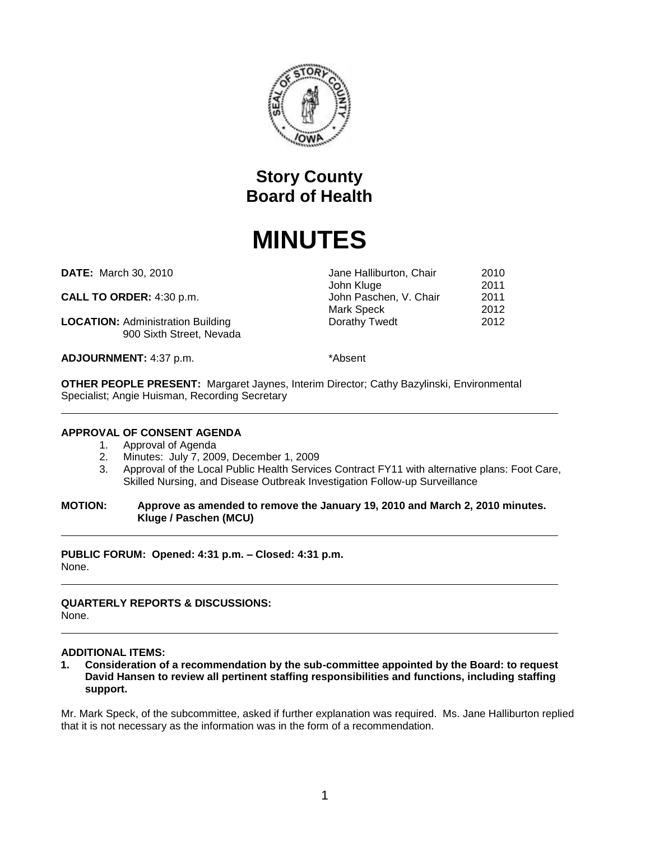

## **Story County Board of Health**

# **MINUTES**

**DATE:** March 30, 2010 **Jane Halliburton, Chair** 2010

**CALL TO ORDER:** 4:30 p.m.  $John$  Paschen, V. Chair 2011

**LOCATION:** Administration Building **Dorathy Twedt** 2012 900 Sixth Street, Nevada

**ADJOURNMENT:** 4:37 p.m.  $*$ Absent

John Kluge 2011<br>John Paschen, V. Chair 2011

Mark Speck 2012

**OTHER PEOPLE PRESENT:** Margaret Jaynes, Interim Director; Cathy Bazylinski, Environmental Specialist; Angie Huisman, Recording Secretary

#### **APPROVAL OF CONSENT AGENDA**

- 1. Approval of Agenda
- 2. Minutes: July 7, 2009, December 1, 2009
- 3. Approval of the Local Public Health Services Contract FY11 with alternative plans: Foot Care, Skilled Nursing, and Disease Outbreak Investigation Follow-up Surveillance

#### **MOTION: Approve as amended to remove the January 19, 2010 and March 2, 2010 minutes. Kluge / Paschen (MCU)**

**PUBLIC FORUM: Opened: 4:31 p.m. – Closed: 4:31 p.m.** None.

#### **QUARTERLY REPORTS & DISCUSSIONS:** None.

### **ADDITIONAL ITEMS:**

**1. Consideration of a recommendation by the sub-committee appointed by the Board: to request David Hansen to review all pertinent staffing responsibilities and functions, including staffing support.**

Mr. Mark Speck, of the subcommittee, asked if further explanation was required. Ms. Jane Halliburton replied that it is not necessary as the information was in the form of a recommendation.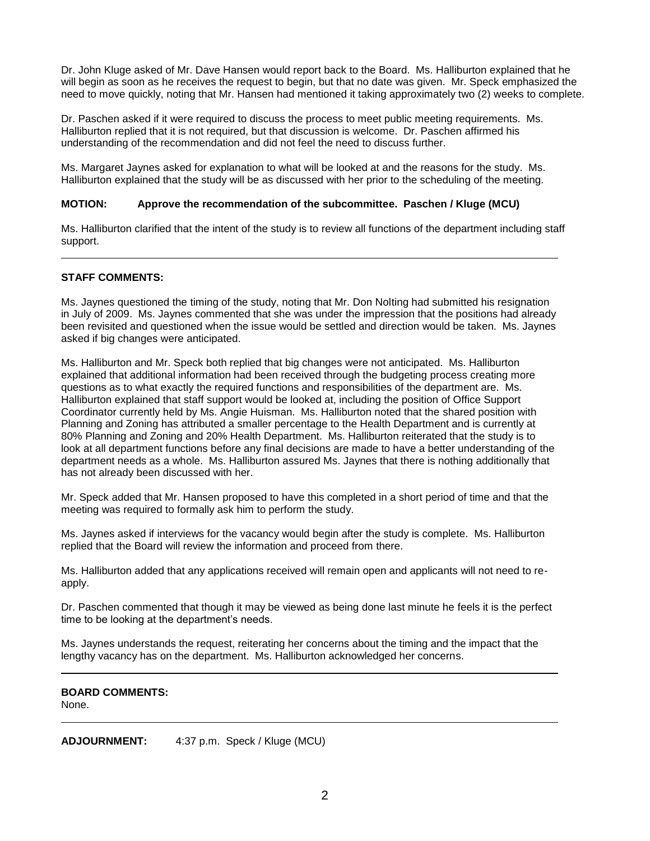Dr. John Kluge asked of Mr. Dave Hansen would report back to the Board. Ms. Halliburton explained that he will begin as soon as he receives the request to begin, but that no date was given. Mr. Speck emphasized the need to move quickly, noting that Mr. Hansen had mentioned it taking approximately two (2) weeks to complete.

Dr. Paschen asked if it were required to discuss the process to meet public meeting requirements. Ms. Halliburton replied that it is not required, but that discussion is welcome. Dr. Paschen affirmed his understanding of the recommendation and did not feel the need to discuss further.

Ms. Margaret Jaynes asked for explanation to what will be looked at and the reasons for the study. Ms. Halliburton explained that the study will be as discussed with her prior to the scheduling of the meeting.

#### **MOTION: Approve the recommendation of the subcommittee. Paschen / Kluge (MCU)**

Ms. Halliburton clarified that the intent of the study is to review all functions of the department including staff support.

#### **STAFF COMMENTS:**

Ms. Jaynes questioned the timing of the study, noting that Mr. Don Nolting had submitted his resignation in July of 2009. Ms. Jaynes commented that she was under the impression that the positions had already been revisited and questioned when the issue would be settled and direction would be taken. Ms. Jaynes asked if big changes were anticipated.

Ms. Halliburton and Mr. Speck both replied that big changes were not anticipated. Ms. Halliburton explained that additional information had been received through the budgeting process creating more questions as to what exactly the required functions and responsibilities of the department are. Ms. Halliburton explained that staff support would be looked at, including the position of Office Support Coordinator currently held by Ms. Angie Huisman. Ms. Halliburton noted that the shared position with Planning and Zoning has attributed a smaller percentage to the Health Department and is currently at 80% Planning and Zoning and 20% Health Department. Ms. Halliburton reiterated that the study is to look at all department functions before any final decisions are made to have a better understanding of the department needs as a whole. Ms. Halliburton assured Ms. Jaynes that there is nothing additionally that has not already been discussed with her.

Mr. Speck added that Mr. Hansen proposed to have this completed in a short period of time and that the meeting was required to formally ask him to perform the study.

Ms. Jaynes asked if interviews for the vacancy would begin after the study is complete. Ms. Halliburton replied that the Board will review the information and proceed from there.

Ms. Halliburton added that any applications received will remain open and applicants will not need to reapply.

Dr. Paschen commented that though it may be viewed as being done last minute he feels it is the perfect time to be looking at the department's needs.

Ms. Jaynes understands the request, reiterating her concerns about the timing and the impact that the lengthy vacancy has on the department. Ms. Halliburton acknowledged her concerns.

#### **BOARD COMMENTS:** None.

**ADJOURNMENT:** 4:37 p.m. Speck / Kluge (MCU)